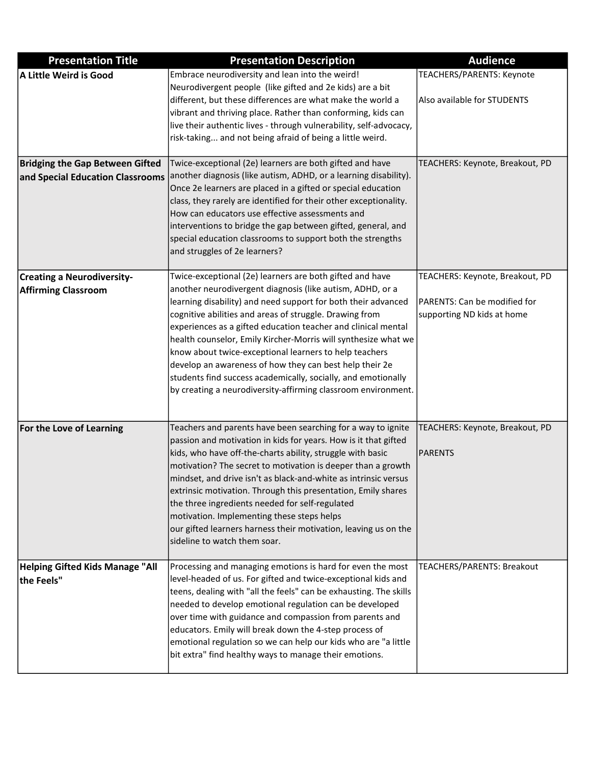| <b>Presentation Title</b>              | <b>Presentation Description</b>                                                                                                    | <b>Audience</b>                 |
|----------------------------------------|------------------------------------------------------------------------------------------------------------------------------------|---------------------------------|
| A Little Weird is Good                 | Embrace neurodiversity and lean into the weird!                                                                                    | TEACHERS/PARENTS: Keynote       |
|                                        | Neurodivergent people (like gifted and 2e kids) are a bit                                                                          |                                 |
|                                        | different, but these differences are what make the world a                                                                         | Also available for STUDENTS     |
|                                        | vibrant and thriving place. Rather than conforming, kids can                                                                       |                                 |
|                                        | live their authentic lives - through vulnerability, self-advocacy,                                                                 |                                 |
|                                        | risk-taking and not being afraid of being a little weird.                                                                          |                                 |
| <b>Bridging the Gap Between Gifted</b> | Twice-exceptional (2e) learners are both gifted and have                                                                           | TEACHERS: Keynote, Breakout, PD |
| and Special Education Classrooms       | another diagnosis (like autism, ADHD, or a learning disability).                                                                   |                                 |
|                                        | Once 2e learners are placed in a gifted or special education                                                                       |                                 |
|                                        | class, they rarely are identified for their other exceptionality.                                                                  |                                 |
|                                        | How can educators use effective assessments and                                                                                    |                                 |
|                                        | interventions to bridge the gap between gifted, general, and                                                                       |                                 |
|                                        | special education classrooms to support both the strengths<br>and struggles of 2e learners?                                        |                                 |
|                                        |                                                                                                                                    |                                 |
| <b>Creating a Neurodiversity-</b>      | Twice-exceptional (2e) learners are both gifted and have                                                                           | TEACHERS: Keynote, Breakout, PD |
| <b>Affirming Classroom</b>             | another neurodivergent diagnosis (like autism, ADHD, or a                                                                          |                                 |
|                                        | learning disability) and need support for both their advanced                                                                      | PARENTS: Can be modified for    |
|                                        | cognitive abilities and areas of struggle. Drawing from                                                                            | supporting ND kids at home      |
|                                        | experiences as a gifted education teacher and clinical mental                                                                      |                                 |
|                                        | health counselor, Emily Kircher-Morris will synthesize what we<br>know about twice-exceptional learners to help teachers           |                                 |
|                                        | develop an awareness of how they can best help their 2e                                                                            |                                 |
|                                        | students find success academically, socially, and emotionally                                                                      |                                 |
|                                        | by creating a neurodiversity-affirming classroom environment.                                                                      |                                 |
|                                        |                                                                                                                                    |                                 |
|                                        |                                                                                                                                    |                                 |
| For the Love of Learning               | Teachers and parents have been searching for a way to ignite                                                                       | TEACHERS: Keynote, Breakout, PD |
|                                        | passion and motivation in kids for years. How is it that gifted                                                                    |                                 |
|                                        | kids, who have off-the-charts ability, struggle with basic<br>motivation? The secret to motivation is deeper than a growth         | <b>PARENTS</b>                  |
|                                        | mindset, and drive isn't as black-and-white as intrinsic versus                                                                    |                                 |
|                                        | extrinsic motivation. Through this presentation, Emily shares                                                                      |                                 |
|                                        | the three ingredients needed for self-regulated                                                                                    |                                 |
|                                        | motivation. Implementing these steps helps                                                                                         |                                 |
|                                        | our gifted learners harness their motivation, leaving us on the                                                                    |                                 |
|                                        | sideline to watch them soar.                                                                                                       |                                 |
|                                        |                                                                                                                                    |                                 |
| <b>Helping Gifted Kids Manage "All</b> | Processing and managing emotions is hard for even the most                                                                         | TEACHERS/PARENTS: Breakout      |
| the Feels"                             | level-headed of us. For gifted and twice-exceptional kids and<br>teens, dealing with "all the feels" can be exhausting. The skills |                                 |
|                                        | needed to develop emotional regulation can be developed                                                                            |                                 |
|                                        | over time with guidance and compassion from parents and                                                                            |                                 |
|                                        | educators. Emily will break down the 4-step process of                                                                             |                                 |
|                                        | emotional regulation so we can help our kids who are "a little                                                                     |                                 |
|                                        | bit extra" find healthy ways to manage their emotions.                                                                             |                                 |
|                                        |                                                                                                                                    |                                 |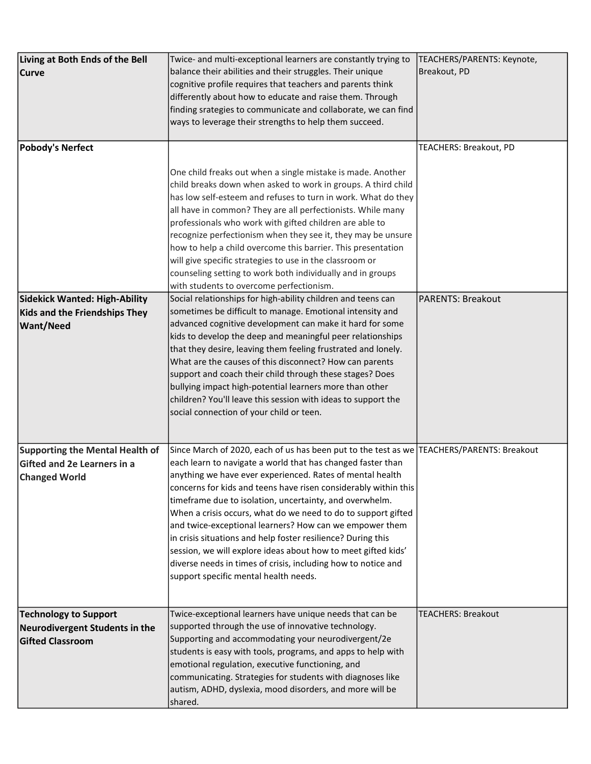| Living at Both Ends of the Bell        | Twice- and multi-exceptional learners are constantly trying to                            | TEACHERS/PARENTS: Keynote, |
|----------------------------------------|-------------------------------------------------------------------------------------------|----------------------------|
| <b>Curve</b>                           | balance their abilities and their struggles. Their unique                                 | Breakout, PD               |
|                                        | cognitive profile requires that teachers and parents think                                |                            |
|                                        | differently about how to educate and raise them. Through                                  |                            |
|                                        | finding srategies to communicate and collaborate, we can find                             |                            |
|                                        |                                                                                           |                            |
|                                        | ways to leverage their strengths to help them succeed.                                    |                            |
| <b>Pobody's Nerfect</b>                |                                                                                           | TEACHERS: Breakout, PD     |
|                                        |                                                                                           |                            |
|                                        | One child freaks out when a single mistake is made. Another                               |                            |
|                                        | child breaks down when asked to work in groups. A third child                             |                            |
|                                        | has low self-esteem and refuses to turn in work. What do they                             |                            |
|                                        | all have in common? They are all perfectionists. While many                               |                            |
|                                        | professionals who work with gifted children are able to                                   |                            |
|                                        |                                                                                           |                            |
|                                        | recognize perfectionism when they see it, they may be unsure                              |                            |
|                                        | how to help a child overcome this barrier. This presentation                              |                            |
|                                        | will give specific strategies to use in the classroom or                                  |                            |
|                                        | counseling setting to work both individually and in groups                                |                            |
|                                        | with students to overcome perfectionism.                                                  |                            |
| <b>Sidekick Wanted: High-Ability</b>   | Social relationships for high-ability children and teens can                              | <b>PARENTS: Breakout</b>   |
| <b>Kids and the Friendships They</b>   | sometimes be difficult to manage. Emotional intensity and                                 |                            |
| <b>Want/Need</b>                       | advanced cognitive development can make it hard for some                                  |                            |
|                                        | kids to develop the deep and meaningful peer relationships                                |                            |
|                                        | that they desire, leaving them feeling frustrated and lonely.                             |                            |
|                                        | What are the causes of this disconnect? How can parents                                   |                            |
|                                        |                                                                                           |                            |
|                                        | support and coach their child through these stages? Does                                  |                            |
|                                        | bullying impact high-potential learners more than other                                   |                            |
|                                        | children? You'll leave this session with ideas to support the                             |                            |
|                                        | social connection of your child or teen.                                                  |                            |
|                                        |                                                                                           |                            |
| <b>Supporting the Mental Health of</b> | Since March of 2020, each of us has been put to the test as we TEACHERS/PARENTS: Breakout |                            |
| Gifted and 2e Learners in a            | each learn to navigate a world that has changed faster than                               |                            |
| <b>Changed World</b>                   | anything we have ever experienced. Rates of mental health                                 |                            |
|                                        | concerns for kids and teens have risen considerably within this                           |                            |
|                                        | timeframe due to isolation, uncertainty, and overwhelm.                                   |                            |
|                                        | When a crisis occurs, what do we need to do to support gifted                             |                            |
|                                        | and twice-exceptional learners? How can we empower them                                   |                            |
|                                        |                                                                                           |                            |
|                                        | in crisis situations and help foster resilience? During this                              |                            |
|                                        | session, we will explore ideas about how to meet gifted kids'                             |                            |
|                                        | diverse needs in times of crisis, including how to notice and                             |                            |
|                                        | support specific mental health needs.                                                     |                            |
|                                        |                                                                                           |                            |
|                                        | Twice-exceptional learners have unique needs that can be                                  | <b>TEACHERS: Breakout</b>  |
| <b>Technology to Support</b>           | supported through the use of innovative technology.                                       |                            |
| Neurodivergent Students in the         |                                                                                           |                            |
| <b>Gifted Classroom</b>                | Supporting and accommodating your neurodivergent/2e                                       |                            |
|                                        | students is easy with tools, programs, and apps to help with                              |                            |
|                                        | emotional regulation, executive functioning, and                                          |                            |
|                                        | communicating. Strategies for students with diagnoses like                                |                            |
|                                        | autism, ADHD, dyslexia, mood disorders, and more will be                                  |                            |
|                                        | shared.                                                                                   |                            |